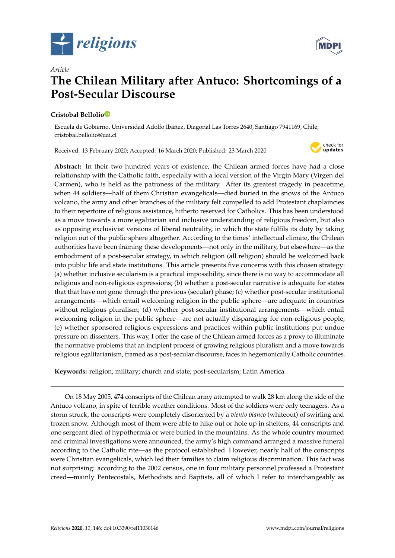



# *Article* **The Chilean Military after Antuco: Shortcomings of a Post-Secular Discourse**

# **Cristobal Belloli[o](https://orcid.org/0000-0002-7547-7773)**

Escuela de Gobierno, Universidad Adolfo Ibáñez, Diagonal Las Torres 2640, Santiago 7941169, Chile; cristobal.bellolio@uai.cl

Received: 13 February 2020; Accepted: 16 March 2020; Published: 23 March 2020



**Abstract:** In their two hundred years of existence, the Chilean armed forces have had a close relationship with the Catholic faith, especially with a local version of the Virgin Mary (Virgen del Carmen), who is held as the patroness of the military. After its greatest tragedy in peacetime, when 44 soldiers—half of them Christian evangelicals—died buried in the snows of the Antuco volcano, the army and other branches of the military felt compelled to add Protestant chaplaincies to their repertoire of religious assistance, hitherto reserved for Catholics. This has been understood as a move towards a more egalitarian and inclusive understanding of religious freedom, but also as opposing exclusivist versions of liberal neutrality, in which the state fulfils its duty by taking religion out of the public sphere altogether. According to the times' intellectual climate, the Chilean authorities have been framing these developments—not only in the military, but elsewhere—as the embodiment of a post-secular strategy, in which religion (all religion) should be welcomed back into public life and state institutions. This article presents five concerns with this chosen strategy: (a) whether inclusive secularism is a practical impossibility, since there is no way to accommodate all religious and non-religious expressions; (b) whether a post-secular narrative is adequate for states that that have not gone through the previous (secular) phase; (c) whether post-secular institutional arrangements—which entail welcoming religion in the public sphere—are adequate in countries without religious pluralism; (d) whether post-secular institutional arrangements—which entail welcoming religion in the public sphere—are not actually disparaging for non-religious people; (e) whether sponsored religious expressions and practices within public institutions put undue pressure on dissenters. This way, I offer the case of the Chilean armed forces as a proxy to illuminate the normative problems that an incipient process of growing religious pluralism and a move towards religious egalitarianism, framed as a post-secular discourse, faces in hegemonically Catholic countries.

**Keywords:** religion; military; church and state; post-secularism; Latin America

On 18 May 2005, 474 conscripts of the Chilean army attempted to walk 28 km along the side of the Antuco volcano, in spite of terrible weather conditions. Most of the soldiers were only teenagers. As a storm struck, the conscripts were completely disoriented by a *viento blanco* (whiteout) of swirling and frozen snow. Although most of them were able to hike out or hole up in shelters, 44 conscripts and one sergeant died of hypothermia or were buried in the mountains. As the whole country mourned and criminal investigations were announced, the army's high command arranged a massive funeral according to the Catholic rite—as the protocol established. However, nearly half of the conscripts were Christian evangelicals, which led their families to claim religious discrimination. This fact was not surprising: according to the 2002 census, one in four military personnel professed a Protestant creed—mainly Pentecostals, Methodists and Baptists, all of which I refer to interchangeably as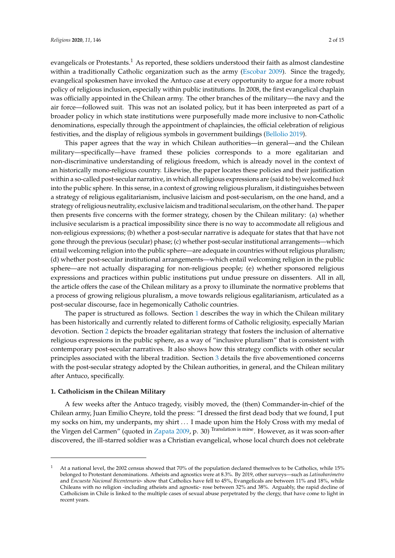evangelicals or Protestants.<sup>1</sup> As reported, these soldiers understood their faith as almost clandestine within a traditionally Catholic organization such as the army [\(Escobar](#page-13-0) [2009\)](#page-13-0). Since the tragedy, evangelical spokesmen have invoked the Antuco case at every opportunity to argue for a more robust policy of religious inclusion, especially within public institutions. In 2008, the first evangelical chaplain was officially appointed in the Chilean army. The other branches of the military—the navy and the air force—followed suit. This was not an isolated policy, but it has been interpreted as part of a broader policy in which state institutions were purposefully made more inclusive to non-Catholic denominations, especially through the appointment of chaplaincies, the official celebration of religious festivities, and the display of religious symbols in government buildings [\(Bellolio](#page-12-0) [2019\)](#page-12-0).

This paper agrees that the way in which Chilean authorities—in general—and the Chilean military—specifically—have framed these policies corresponds to a more egalitarian and non-discriminative understanding of religious freedom, which is already novel in the context of an historically mono-religious country. Likewise, the paper locates these policies and their justification within a so-called post-secular narrative, in which all religious expressions are (said to be) welcomed *back* into the public sphere. In this sense, in a context of growing religious pluralism, it distinguishes between a strategy of religious egalitarianism, inclusive laicism and post-secularism, on the one hand, and a strategy of religious neutrality, exclusive laicism and traditional secularism, on the other hand. The paper then presents five concerns with the former strategy, chosen by the Chilean military: (a) whether inclusive secularism is a practical impossibility since there is no way to accommodate all religious and non-religious expressions; (b) whether a post-secular narrative is adequate for states that that have not gone through the previous (secular) phase; (c) whether post-secular institutional arrangements—which entail welcoming religion into the public sphere—are adequate in countries without religious pluralism; (d) whether post-secular institutional arrangements—which entail welcoming religion in the public sphere—are not actually disparaging for non-religious people; (e) whether sponsored religious expressions and practices within public institutions put undue pressure on dissenters. All in all, the article offers the case of the Chilean military as a proxy to illuminate the normative problems that a process of growing religious pluralism, a move towards religious egalitarianism, articulated as a post-secular discourse, face in hegemonically Catholic countries.

The paper is structured as follows. Section [1](#page-1-0) describes the way in which the Chilean military has been historically and currently related to different forms of Catholic religiosity, especially Marian devotion. Section [2](#page-4-0) depicts the broader egalitarian strategy that fosters the inclusion of alternative religious expressions in the public sphere, as a way of "inclusive pluralism" that is consistent with contemporary post-secular narratives. It also shows how this strategy conflicts with other secular principles associated with the liberal tradition. Section [3](#page-7-0) details the five abovementioned concerns with the post-secular strategy adopted by the Chilean authorities, in general, and the Chilean military after Antuco, specifically.

#### <span id="page-1-0"></span>**1. Catholicism in the Chilean Military**

A few weeks after the Antuco tragedy, visibly moved, the (then) Commander-in-chief of the Chilean army, Juan Emilio Cheyre, told the press: "I dressed the first dead body that we found, I put my socks on him, my underpants, my shirt . . . I made upon him the Holy Cross with my medal of the Virgen del Carmen" (quoted in [Zapata](#page-14-0) [2009,](#page-14-0) p. 30) Translation is mine. However, as it was soon-after discovered, the ill-starred soldier was a Christian evangelical, whose local church does not celebrate

<sup>1</sup> At a national level, the 2002 census showed that 70% of the population declared themselves to be Catholics, while 15% belonged to Protestant denominations. Atheists and agnostics were at 8.3%. By 2019, other surveys—such as *Latinobarómetro* and *Encuesta Nacional Bicentenario*- show that Catholics have fell to 45%, Evangelicals are between 11% and 18%, while Chileans with no religion -including atheists and agnostic- rose between 32% and 38%. Arguably, the rapid decline of Catholicism in Chile is linked to the multiple cases of sexual abuse perpetrated by the clergy, that have come to light in recent years.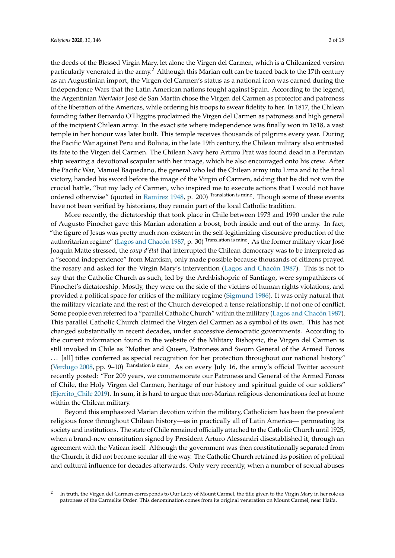the deeds of the Blessed Virgin Mary, let alone the Virgen del Carmen, which is a Chileanized version particularly venerated in the army.<sup>2</sup> Although this Marian cult can be traced back to the 17th century as an Augustinian import, the Virgen del Carmen's status as a national icon was earned during the Independence Wars that the Latin American nations fought against Spain. According to the legend, the Argentinian *libertador* José de San Martín chose the Virgen del Carmen as protector and patroness of the liberation of the Americas, while ordering his troops to swear fidelity to her. In 1817, the Chilean founding father Bernardo O'Higgins proclaimed the Virgen del Carmen as patroness and high general of the incipient Chilean army. In the exact site where independence was finally won in 1818, a vast temple in her honour was later built. This temple receives thousands of pilgrims every year. During the Pacific War against Peru and Bolivia, in the late 19th century, the Chilean military also entrusted its fate to the Virgen del Carmen. The Chilean Navy hero Arturo Prat was found dead in a Peruvian ship wearing a devotional scapular with her image, which he also encouraged onto his crew. After the Pacific War, Manuel Baquedano, the general who led the Chilean army into Lima and to the final victory, handed his sword before the image of the Virgin of Carmen, adding that he did not win the crucial battle, "but my lady of Carmen, who inspired me to execute actions that I would not have ordered otherwise" (quoted in [Ram](#page-13-1)írez [1948,](#page-13-1) p. 200) Translation is mine. Though some of these events have not been verified by historians, they remain part of the local Catholic tradition.

More recently, the dictatorship that took place in Chile between 1973 and 1990 under the rule of Augusto Pinochet gave this Marian adoration a boost, both inside and out of the army. In fact, "the figure of Jesus was pretty much non-existent in the self-legitimizing discursive production of the authoritarian regime" [\(Lagos and Chac](#page-13-2)ón [1987,](#page-13-2) p. 30) Translation is mine. As the former military vicar José Joaquín Matte stressed, the *coup d'état* that interrupted the Chilean democracy was to be interpreted as a "second independence" from Marxism, only made possible because thousands of citizens prayed the rosary and asked for the Virgin Mary's intervention [\(Lagos and Chac](#page-13-2)ón [1987\)](#page-13-2). This is not to say that the Catholic Church as such, led by the Archbishopric of Santiago, were sympathizers of Pinochet's dictatorship. Mostly, they were on the side of the victims of human rights violations, and provided a political space for critics of the military regime [\(Sigmund](#page-13-3) [1986\)](#page-13-3). It was only natural that the military vicariate and the rest of the Church developed a tense relationship, if not one of conflict. Some people even referred to a "parallel Catholic Church" within the military [\(Lagos and Chac](#page-13-2)ón [1987\)](#page-13-2). This parallel Catholic Church claimed the Virgen del Carmen as a symbol of its own. This has not changed substantially in recent decades, under successive democratic governments. According to the current information found in the website of the Military Bishopric, the Virgen del Carmen is still invoked in Chile as "Mother and Queen, Patroness and Sworn General of the Armed Forces . . . [all] titles conferred as special recognition for her protection throughout our national history" [\(Verdugo](#page-14-1) [2008,](#page-14-1) pp. 9–10) <sup>Translation is mine</sup>. As on every July 16, the army's official Twitter account recently posted: "For 209 years, we commemorate our Patroness and General of the Armed Forces of Chile, the Holy Virgen del Carmen, heritage of our history and spiritual guide of our soldiers" [\(Ejercito\\_Chile](#page-13-4) [2019\)](#page-13-4). In sum, it is hard to argue that non-Marian religious denominations feel at home within the Chilean military.

Beyond this emphasized Marian devotion within the military, Catholicism has been the prevalent religious force throughout Chilean history—as in practically all of Latin America— permeating its society and institutions. The state of Chile remained officially attached to the Catholic Church until 1925, when a brand-new constitution signed by President Arturo Alessandri disestablished it, through an agreement with the Vatican itself. Although the government was then constitutionally separated from the Church, it did not become secular all the way. The Catholic Church retained its position of political and cultural influence for decades afterwards. Only very recently, when a number of sexual abuses

<sup>2</sup> In truth, the Virgen del Carmen corresponds to Our Lady of Mount Carmel, the title given to the Virgin Mary in her role as patroness of the Carmelite Order. This denomination comes from its original veneration on Mount Carmel, near Haifa.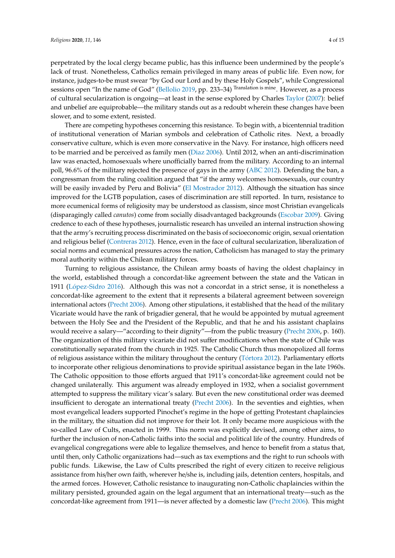perpetrated by the local clergy became public, has this influence been undermined by the people's lack of trust. Nonetheless, Catholics remain privileged in many areas of public life. Even now, for instance, judges-to-be must swear "by God our Lord and by these Holy Gospels", while Congressional sessions open "In the name of God" [\(Bellolio](#page-12-0) [2019,](#page-12-0) pp. 233-34) Translation is mine. However, as a process of cultural secularization is ongoing—at least in the sense explored by Charles [Taylor](#page-13-5) [\(2007\)](#page-13-5): belief and unbelief are equiprobable—the military stands out as a redoubt wherein these changes have been slower, and to some extent, resisted.

There are competing hypotheses concerning this resistance. To begin with, a bicentennial tradition of institutional veneration of Marian symbols and celebration of Catholic rites. Next, a broadly conservative culture, which is even more conservative in the Navy. For instance, high officers need to be married and be perceived as family men [\(Diaz](#page-12-1) [2006\)](#page-12-1). Until 2012, when an anti-discrimination law was enacted, homosexuals where unofficially barred from the military. According to an internal poll, 96.6% of the military rejected the presence of gays in the army [\(ABC](#page-12-2) [2012\)](#page-12-2). Defending the ban, a congressman from the ruling coalition argued that "if the army welcomes homosexuals, our country will be easily invaded by Peru and Bolivia" [\(El Mostrador](#page-13-6) [2012\)](#page-13-6). Although the situation has since improved for the LGTB population, cases of discrimination are still reported. In turn, resistance to more ecumenical forms of religiosity may be understood as classism, since most Christian evangelicals (disparagingly called *canutos*) come from socially disadvantaged backgrounds [\(Escobar](#page-13-0) [2009\)](#page-13-0). Giving credence to each of these hypotheses, journalistic research has unveiled an internal instruction showing that the army's recruiting process discriminated on the basis of socioeconomic origin, sexual orientation and religious belief [\(Contreras](#page-12-3) [2012\)](#page-12-3). Hence, even in the face of cultural secularization, liberalization of social norms and ecumenical pressures across the nation, Catholicism has managed to stay the primary moral authority within the Chilean military forces.

Turning to religious assistance, the Chilean army boasts of having the oldest chaplaincy in the world, established through a concordat-like agreement between the state and the Vatican in 1911 (Ló[pez-Sidro](#page-13-7) [2016\)](#page-13-7). Although this was not a concordat in a strict sense, it is nonetheless a concordat-like agreement to the extent that it represents a bilateral agreement between sovereign international actors [\(Precht](#page-13-8) [2006\)](#page-13-8). Among other stipulations, it established that the head of the military Vicariate would have the rank of brigadier general, that he would be appointed by mutual agreement between the Holy See and the President of the Republic, and that he and his assistant chaplains would receive a salary—"according to their dignity"—from the public treasury [\(Precht](#page-13-8) [2006,](#page-13-8) p. 160). The organization of this military vicariate did not suffer modifications when the state of Chile was constitutionally separated from the church in 1925. The Catholic Church thus monopolized all forms of religious assistance within the military throughout the century (Tó[rtora](#page-13-9) [2012\)](#page-13-9). Parliamentary efforts to incorporate other religious denominations to provide spiritual assistance began in the late 1960s. The Catholic opposition to those efforts argued that 1911's concordat-like agreement could not be changed unilaterally. This argument was already employed in 1932, when a socialist government attempted to suppress the military vicar's salary. But even the new constitutional order was deemed insufficient to derogate an international treaty [\(Precht](#page-13-8) [2006\)](#page-13-8). In the seventies and eighties, when most evangelical leaders supported Pinochet's regime in the hope of getting Protestant chaplaincies in the military, the situation did not improve for their lot. It only became more auspicious with the so-called Law of Cults, enacted in 1999. This norm was explicitly devised, among other aims, to further the inclusion of non-Catholic faiths into the social and political life of the country. Hundreds of evangelical congregations were able to legalize themselves, and hence to benefit from a status that, until then, only Catholic organizations had—such as tax exemptions and the right to run schools with public funds. Likewise, the Law of Cults prescribed the right of every citizen to receive religious assistance from his/her own faith, wherever he/she is, including jails, detention centers, hospitals, and the armed forces. However, Catholic resistance to inaugurating non-Catholic chaplaincies within the military persisted, grounded again on the legal argument that an international treaty—such as the concordat-like agreement from 1911—is never affected by a domestic law [\(Precht](#page-13-8) [2006\)](#page-13-8). This might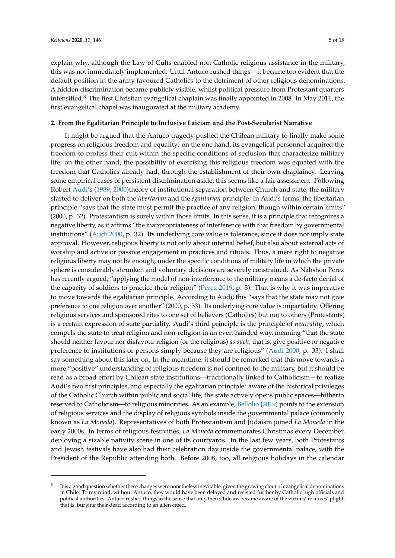explain why, although the Law of Cults enabled non-Catholic religious assistance in the military, this was not immediately implemented. Until Antuco rushed things—it became too evident that the default position in the army favoured Catholics to the detriment of other religious denominations. A hidden discrimination became publicly visible, whilst political pressure from Protestant quarters intensified.<sup>3</sup> The first Christian evangelical chaplain was finally appointed in 2008. In May 2011, the first evangelical chapel was inaugurated at the military academy.

#### <span id="page-4-0"></span>**2. From the Egalitarian Principle to Inclusive Laicism and the Post-Secularist Narrative**

It might be argued that the Antuco tragedy pushed the Chilean military to finally make some progress on religious freedom and equality: on the one hand, its evangelical personnel acquired the freedom to profess their cult within the specific conditions of seclusion that characterize military life; on the other hand, the possibility of exercising this religious freedom was equated with the freedom that Catholics already had, through the establishment of their own chaplaincy. Leaving some empirical cases of persistent discrimination aside, this seems like a fair assessment. Following Robert [Audi'](#page-12-4)s [\(1989,](#page-12-4) [2000\)](#page-12-5)theory of institutional separation between Church and state, the military started to deliver on both the *libertarian* and the *egalitarian* principle. In Audi's terms, the libertarian principle "says that the state must permit the practice of any religion, though within certain limits" (2000, p. 32). Protestantism is surely within those limits. In this sense, it is a principle that recognizes a negative liberty, as it affirms "the inappropriateness of interference with that freedom by governmental institutions" [\(Audi](#page-12-5) [2000,](#page-12-5) p. 32). Its underlying core value is tolerance, since it does not imply state approval. However, religious liberty is not only about internal belief, but also about external acts of worship and active or passive engagement in practices and rituals. Thus, a mere right to negative religious liberty may not be enough, under the specific conditions of military life in which the private sphere is considerably shrunken and voluntary decisions are severely constrained. As Nahshon Perez has recently argued, "applying the model of non-interference to the military means a de-facto denial of the capacity of soldiers to practice their religion" [\(Perez](#page-13-10) [2019,](#page-13-10) p. 3). That is why it was imperative to move towards the egalitarian principle. According to Audi, this "says that the state may not give preference to one religion over another" (2000, p. 33). Its underlying core value is impartiality. Offering religious services and sponsored rites to one set of believers (Catholics) but not to others (Protestants) is a certain expression of state partiality. Audi's third principle is the principle of *neutrality*, which compels the state to treat religion and non-religion in an even-handed way, meaning "that the state should neither favour nor disfavour religion (or the religious) *as such*, that is, give positive or negative preference to institutions or persons simply because they are religious" [\(Audi](#page-12-5) [2000,](#page-12-5) p. 33). I shall say something about this later on. In the meantime, it should be remarked that this move towards a more "positive" understanding of religious freedom is not confined to the military, but it should be read as a broad effort by Chilean state institutions—traditionally linked to Catholicism—to realize Audi's two first principles, and especially the egalitarian principle: aware of the historical privileges of the Catholic Church within public and social life, the state actively opens public spaces—hitherto reserved to Catholicism—to religious minorities. As an example, [Bellolio](#page-12-0) [\(2019\)](#page-12-0) points to the extension of religious services and the display of religious symbols inside the governmental palace (commonly known as *La Moneda*). Representatives of both Protestantism and Judaism joined *La Moneda* in the early 2000s. In terms of religious festivities, *La Moneda* commemorates Christmas every December, deploying a sizable nativity scene in one of its courtyards. In the last few years, both Protestants and Jewish festivals have also had their celebration day inside the governmental palace, with the President of the Republic attending both. Before 2008, too, all religious holidays in the calendar

<sup>3</sup> It is a good question whether these changes were nonetheless inevitable, given the growing clout of evangelical denominations in Chile. To my mind, without Antuco, they would have been delayed and resisted further by Catholic high officials and political authorities. Antuco rushed things in the sense that only then Chileans became aware of the victims' relatives' plight, that is, burying their dead according to an alien creed.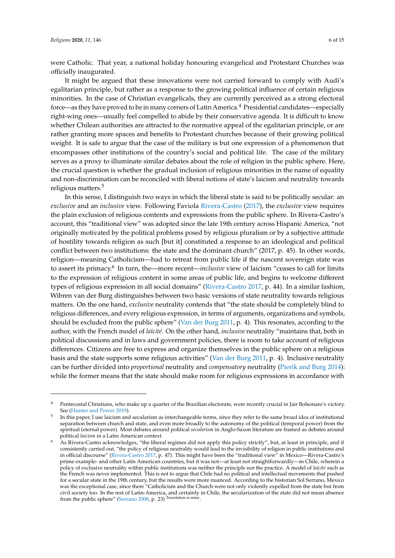were Catholic. That year, a national holiday honouring evangelical and Protestant Churches was officially inaugurated.

It might be argued that these innovations were not carried forward to comply with Audi's egalitarian principle, but rather as a response to the growing political influence of certain religious minorities. In the case of Christian evangelicals, they are currently perceived as a strong electoral force—as they have proved to be in many corners of Latin America.<sup>4</sup> Presidential candidates—especially right-wing ones—usually feel compelled to abide by their conservative agenda. It is difficult to know whether Chilean authorities are attracted to the normative appeal of the egalitarian principle, or are rather granting more spaces and benefits to Protestant churches because of their growing political weight. It is safe to argue that the case of the military is but one expression of a phenomenon that encompasses other institutions of the country's social and political life. The case of the military serves as a proxy to illuminate similar debates about the role of religion in the public sphere. Here, the crucial question is whether the gradual inclusion of religious minorities in the name of equality and non-discrimination can be reconciled with liberal notions of state's laicism and neutrality towards religious matters.<sup>5</sup>

In this sense, I distinguish two ways in which the liberal state is said to be politically secular: an *exclusive* and an *inclusive* view. Following Faviola [Rivera-Castro](#page-13-11) [\(2017\)](#page-13-11), the *exclusive* view requires the plain exclusion of religious contents and expressions from the public sphere. In Rivera-Castro's account, this "traditional view" was adopted since the late 19th century across Hispanic America, "not originally motivated by the political problems posed by religious pluralism or by a subjective attitude of hostility towards religion as such [but it] constituted a response to an ideological and political conflict between two institutions: the state and the dominant church" (2017, p. 45). In other words, religion—meaning Catholicism—had to retreat from public life if the nascent sovereign state was to assert its primacy.<sup>6</sup> In turn, the—more recent—*inclusive* view of laicism "ceases to call for limits to the expression of religious content in some areas of public life, and begins to welcome different types of religious expression in all social domains" [\(Rivera-Castro](#page-13-11) [2017,](#page-13-11) p. 44). In a similar fashion, Wibren van der Burg distinguishes between two basic versions of state neutrality towards religious matters. On the one hand, *exclusive* neutrality contends that "the state should be completely blind to religious differences, and every religious expression, in terms of arguments, organizations and symbols, should be excluded from the public sphere" [\(Van der Burg](#page-14-2) [2011,](#page-14-2) p. 4). This resonates, according to the author, with the French model of *laïcité*. On the other hand, *inclusive* neutrality "maintains that, both in political discussions and in laws and government policies, there is room to take account of religious differences. Citizens are free to express and organize themselves in the public sphere on a religious basis and the state supports some religious activities" [\(Van der Burg](#page-14-2) [2011,](#page-14-2) p. 4). Inclusive neutrality can be further divided into *proportional* neutrality and *compensatory* neutrality [\(Pierik and Burg](#page-13-12) [2014\)](#page-13-12): while the former means that the state should make room for religious expressions in accordance with

<sup>4</sup> Pentecostal Christians, who make up a quarter of the Brazilian electorate, were recently crucial in Jair Bolsonaro's victory. See [\(Hunter and Power](#page-13-13) [2019\)](#page-13-13).

<sup>5</sup> In this paper, I use laicism and secularism as interchangeable terms, since they refer to the same broad idea of institutional separation between church and state, and even more broadly to the autonomy of the political (temporal power) from the spiritual (eternal power). Most debates around political *secularism* in Anglo-Saxon literature are framed as debates around political *laicism* in a Latin American context.

<sup>6</sup> As Rivera-Castro acknowledges, "the liberal regimes did not apply this policy strictly", but, at least in principle, and if consistently carried out, "the policy of religious neutrality would lead to the invisibility of religion in public institutions and in official discourse" [\(Rivera-Castro](#page-13-11) [2017,](#page-13-11) p. 47). This might have been the "traditional view" in Mexico—Rivera-Castro's prime example- and other Latin American countries, but it was not—at least not straightforwardly—in Chile, wherein a policy of exclusive neutrality within public institutions was neither the principle nor the practice. A model of *laïcité* such as the French was never implemented. This is not to argue that Chile had no political and intellectual movements that pushed for a secular state in the 19th century, but the results were more nuanced. According to the historian Sol Serrano, Mexico was the exceptional case, since there "Catholicism and the Church were not only violently expelled from the state but from civil society too. In the rest of Latin-America, and certainly in Chile, the secularization of the state did not mean absence from the public sphere" [\(Serrano](#page-13-14) [2008,](#page-13-14) p. 23) Translation is mine.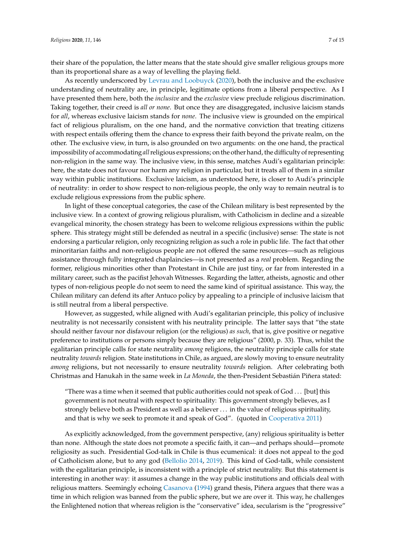their share of the population, the latter means that the state should give smaller religious groups more than its proportional share as a way of levelling the playing field.

As recently underscored by [Levrau and Loobuyck](#page-13-15) [\(2020\)](#page-13-15), both the inclusive and the exclusive understanding of neutrality are, in principle, legitimate options from a liberal perspective. As I have presented them here, both the *inclusive* and the *exclusive* view preclude religious discrimination. Taking together, their creed is *all or none*. But once they are disaggregated, inclusive laicism stands for *all*, whereas exclusive laicism stands for *none*. The inclusive view is grounded on the empirical fact of religious pluralism, on the one hand, and the normative conviction that treating citizens with respect entails offering them the chance to express their faith beyond the private realm, on the other. The exclusive view, in turn, is also grounded on two arguments: on the one hand, the practical impossibility of accommodating *all*religious expressions; on the other hand, the difficulty of representing non-religion in the same way. The inclusive view, in this sense, matches Audi's egalitarian principle: here, the state does not favour nor harm any religion in particular, but it treats all of them in a similar way within public institutions. Exclusive laicism, as understood here, is closer to Audi's principle of neutrality: in order to show respect to non-religious people, the only way to remain neutral is to exclude religious expressions from the public sphere.

In light of these conceptual categories, the case of the Chilean military is best represented by the inclusive view. In a context of growing religious pluralism, with Catholicism in decline and a sizeable evangelical minority, the chosen strategy has been to welcome religious expressions within the public sphere. This strategy might still be defended as neutral in a specific (inclusive) sense: The state is not endorsing a particular religion, only recognizing religion as such a role in public life. The fact that other minoritarian faiths and non-religious people are not offered the same resources—such as religious assistance through fully integrated chaplaincies—is not presented as a *real* problem. Regarding the former, religious minorities other than Protestant in Chile are just tiny, or far from interested in a military career, such as the pacifist Jehovah Witnesses. Regarding the latter, atheists, agnostic and other types of non-religious people do not seem to need the same kind of spiritual assistance. This way, the Chilean military can defend its after Antuco policy by appealing to a principle of inclusive laicism that is still neutral from a liberal perspective.

However, as suggested, while aligned with Audi's egalitarian principle, this policy of inclusive neutrality is not necessarily consistent with his neutrality principle. The latter says that "the state should neither favour nor disfavour religion (or the religious) *as such*, that is, give positive or negative preference to institutions or persons simply because they are religious" (2000, p. 33). Thus, whilst the egalitarian principle calls for state neutrality *among* religions, the neutrality principle calls for state neutrality *towards* religion. State institutions in Chile, as argued, are slowly moving to ensure neutrality *among* religions, but not necessarily to ensure neutrality *towards* religion. After celebrating both Christmas and Hanukah in the same week in *La Moneda*, the then-President Sebastián Piñera stated:

"There was a time when it seemed that public authorities could not speak of  $God \dots$  [but] this government is not neutral with respect to spirituality: This government strongly believes, as I strongly believe both as President as well as a believer . . . in the value of religious spirituality, and that is why we seek to promote it and speak of God". (quoted in [Cooperativa](#page-12-6) [2011\)](#page-12-6)

As explicitly acknowledged, from the government perspective, (any) religious spirituality is better than none. Although the state does not promote a specific faith, it can—and perhaps should—promote religiosity as such. Presidential God-talk in Chile is thus ecumenical: it does not appeal to the god of Catholicism alone, but to any god [\(Bellolio](#page-12-7) [2014,](#page-12-7) [2019\)](#page-12-0). This kind of God-talk, while consistent with the egalitarian principle, is inconsistent with a principle of strict neutrality. But this statement is interesting in another way: it assumes a change in the way public institutions and officials deal with religious matters. Seemingly echoing [Casanova](#page-12-8) [\(1994\)](#page-12-8) grand thesis, Piñera argues that there was a time in which religion was banned from the public sphere, but we are over it. This way, he challenges the Enlightened notion that whereas religion is the "conservative" idea, secularism is the "progressive"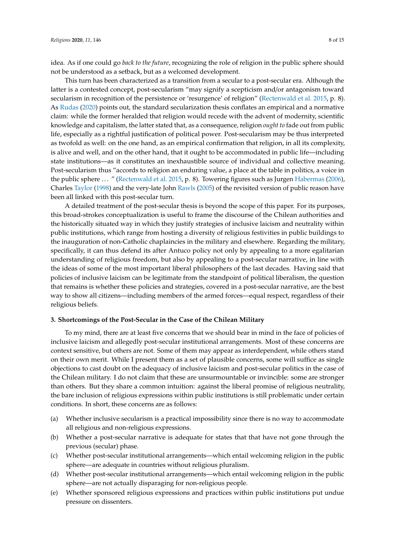idea. As if one could go *back to the future*, recognizing the role of religion in the public sphere should not be understood as a setback, but as a welcomed development.

This turn has been characterized as a transition from a secular to a post-secular era. Although the latter is a contested concept, post-secularism "may signify a scepticism and/or antagonism toward secularism in recognition of the persistence or 'resurgence' of religion" [\(Rectenwald et al.](#page-13-16) [2015,](#page-13-16) p. 8). As [Rudas](#page-13-17) [\(2020\)](#page-13-17) points out, the standard secularization thesis conflates an empirical and a normative claim: while the former heralded that religion would recede with the advent of modernity, scientific knowledge and capitalism, the latter stated that, as a consequence, religion *ought to* fade out from public life, especially as a rightful justification of political power. Post-secularism may be thus interpreted as twofold as well: on the one hand, as an empirical confirmation that religion, in all its complexity, is alive and well, and on the other hand, that it ought to be accommodated in public life—including state institutions—as it constitutes an inexhaustible source of individual and collective meaning. Post-secularism thus "accords to religion an enduring value, a place at the table in politics, a voice in the public sphere . . . " [\(Rectenwald et al.](#page-13-16) [2015,](#page-13-16) p. 8). Towering figures such as Jurgen [Habermas](#page-13-18) [\(2006\)](#page-13-18), Charles [Taylor](#page-13-19) [\(1998\)](#page-13-19) and the very-late John [Rawls](#page-13-20) [\(2005\)](#page-13-20) of the revisited version of public reason have been all linked with this post-secular turn.

A detailed treatment of the post-secular thesis is beyond the scope of this paper. For its purposes, this broad-strokes conceptualization is useful to frame the discourse of the Chilean authorities and the historically situated way in which they justify strategies of inclusive laicism and neutrality within public institutions, which range from hosting a diversity of religious festivities in public buildings to the inauguration of non-Catholic chaplaincies in the military and elsewhere. Regarding the military, specifically, it can thus defend its after Antuco policy not only by appealing to a more egalitarian understanding of religious freedom, but also by appealing to a post-secular narrative, in line with the ideas of some of the most important liberal philosophers of the last decades. Having said that policies of inclusive laicism can be legitimate from the standpoint of political liberalism, the question that remains is whether these policies and strategies, covered in a post-secular narrative, are the best way to show all citizens—including members of the armed forces—equal respect, regardless of their religious beliefs.

#### <span id="page-7-0"></span>**3. Shortcomings of the Post-Secular in the Case of the Chilean Military**

To my mind, there are at least five concerns that we should bear in mind in the face of policies of inclusive laicism and allegedly post-secular institutional arrangements. Most of these concerns are context sensitive, but others are not. Some of them may appear as interdependent, while others stand on their own merit. While I present them as a set of plausible concerns, some will suffice as single objections to cast doubt on the adequacy of inclusive laicism and post-secular politics in the case of the Chilean military. I do not claim that these are unsurmountable or invincible: some are stronger than others. But they share a common intuition: against the liberal promise of religious neutrality, the bare inclusion of religious expressions within public institutions is still problematic under certain conditions. In short, these concerns are as follows:

- (a) Whether inclusive secularism is a practical impossibility since there is no way to accommodate all religious and non-religious expressions.
- (b) Whether a post-secular narrative is adequate for states that that have not gone through the previous (secular) phase.
- (c) Whether post-secular institutional arrangements—which entail welcoming religion in the public sphere—are adequate in countries without religious pluralism.
- (d) Whether post-secular institutional arrangements—which entail welcoming religion in the public sphere—are not actually disparaging for non-religious people.
- (e) Whether sponsored religious expressions and practices within public institutions put undue pressure on dissenters.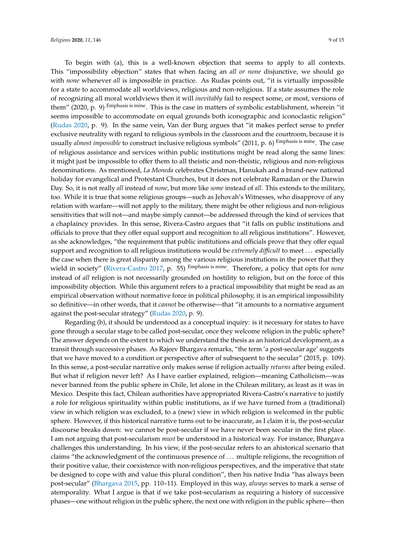To begin with (a), this is a well-known objection that seems to apply to all contexts. This "impossibility objection" states that when facing an *all or none* disjunctive, we should go with *none* whenever *all* is impossible in practice. As Rudas points out, "it is virtually impossible for a state to accommodate all worldviews, religious and non-religious. If a state assumes the role of recognizing all moral worldviews then it will *inevitably* fail to respect some, or most, versions of them" (2020, p. 9) Emphasis is mine. This is the case in matters of symbolic establishment, wherein "it seems impossible to accommodate on equal grounds both iconographic and iconoclastic religion" [\(Rudas](#page-13-17) [2020,](#page-13-17) p. 9). In the same vein, Van der Burg argues that "it makes perfect sense to prefer exclusive neutrality with regard to religious symbols in the classroom and the courtroom, because it is usually *almost impossible* to construct inclusive religious symbols" (2011, p. 6) Emphasis is mine. The case of religious assistance and services within public institutions might be read along the same lines: it might just be impossible to offer them to all theistic and non-theistic, religious and non-religious denominations. As mentioned, *La Moneda* celebrates Christmas, Hanukah and a brand-new national holiday for evangelical and Protestant Churches, but it does not celebrate Ramadan or the Darwin Day. So, it is not really *all* instead of *none*, but more like *some* instead of *all*. This extends to the military, too. While it is true that some religious groups—such as Jehovah's Witnesses, who disapprove of any relation with warfare—will not apply to the military, there might be other religious and non-religious sensitivities that will not—and maybe simply cannot—be addressed through the kind of services that a chaplaincy provides. In this sense, Rivera-Castro argues that "it falls on public institutions and officials to prove that they offer equal support and recognition to all religious institutions". However, as she acknowledges, "the requirement that public institutions and officials prove that they offer equal support and recognition to all religious institutions would be *extremely di*ffi*cult* to meet . . . especially the case when there is great disparity among the various religious institutions in the power that they wield in society" [\(Rivera-Castro](#page-13-11) [2017,](#page-13-11) p. 55) Emphasis is mine. Therefore, a policy that opts for *none* instead of *all* religion is not necessarily grounded on hostility to religion, but on the force of this impossibility objection. While this argument refers to a practical impossibility that might be read as an empirical observation without normative force in political philosophy, it is an empirical impossibility so definitive—in other words, that it *cannot* be otherwise—that "it amounts to a normative argument against the post-secular strategy" [\(Rudas](#page-13-17) [2020,](#page-13-17) p. 9).

Regarding (b), it should be understood as a conceptual inquiry: is it necessary for states to have gone through a secular stage to be called post-secular, once they welcome religion in the public sphere? The answer depends on the extent to which we understand the thesis as an historical development, as a transit through successive phases. As Rajeev Bhargava remarks, "the term 'a post-secular age' suggests that we have moved to a condition or perspective after of subsequent to the secular" (2015, p. 109). In this sense, a post-secular narrative only makes sense if religion actually *returns* after being exiled. But what if religion never left? As I have earlier explained, religion—meaning Catholicism—was never banned from the public sphere in Chile, let alone in the Chilean military, as least as it was in Mexico. Despite this fact, Chilean authorities have appropriated Rivera-Castro's narrative to justify a role for religious spirituality within public institutions, as if we have turned from a (traditional) view in which religion was excluded, to a (new) view in which religion is welcomed in the public sphere. However, if this historical narrative turns out to be inaccurate, as I claim it is, the post-secular discourse breaks down: we cannot be post-secular if we have never been secular in the first place. I am not arguing that post-secularism *must* be understood in a historical way. For instance, Bhargava challenges this understanding. In his view, if the post-secular refers to an ahistorical scenario that claims "the acknowledgment of the continuous presence of . . . multiple religions, the recognition of their positive value, their coexistence with non-religious perspectives, and the imperative that state be designed to cope with and value this plural condition", then his native India "has always been post-secular" [\(Bhargava](#page-12-9) [2015,](#page-12-9) pp. 110–11). Employed in this way, *always* serves to mark a sense of atemporality. What I argue is that if we take post-secularism as requiring a history of successive phases—one without religion in the public sphere, the next one with religion in the public sphere—then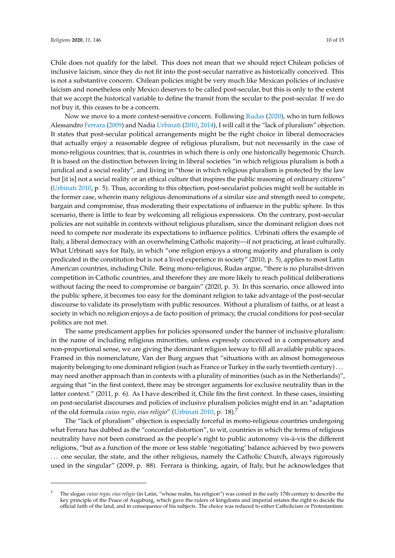Chile does not qualify for the label. This does not mean that we should reject Chilean policies of inclusive laicism, since they do not fit into the post-secular narrative as historically conceived. This is not a substantive concern. Chilean policies might be very much like Mexican policies of inclusive laicism and nonetheless only Mexico deserves to be called post-secular, but this is only to the extent that we accept the historical variable to define the transit from the secular to the post-secular. If we do not buy it, this ceases to be a concern.

Now we move to a more context-sensitive concern. Following [Rudas](#page-13-17) [\(2020\)](#page-13-17), who in turn follows Alessandro [Ferrara](#page-13-21) [\(2009\)](#page-13-21) and Nadia [Urbinati](#page-13-22) [\(2010,](#page-13-22) [2014\)](#page-13-23), I will call it the "lack of pluralism" objection. It states that post-secular political arrangements might be the right choice in liberal democracies that actually enjoy a reasonable degree of religious pluralism, but not necessarily in the case of mono-religious countries; that is, countries in which there is only one historically hegemonic Church. It is based on the distinction between living in liberal societies "in which religious pluralism is both a juridical and a social reality", and living in "those in which religious pluralism is protected by the law but [it is] not a social reality or an ethical culture that inspires the public reasoning of ordinary citizens" [\(Urbinati](#page-13-22) [2010,](#page-13-22) p. 5). Thus, according to this objection, post-secularist policies might well be suitable in the former case, wherein many religious denominations of a similar size and strength need to compete, bargain and compromise, thus moderating their expectations of influence in the public sphere. In this scenario, there is little to fear by welcoming all religious expressions. On the contrary, post-secular policies are not suitable in contexts without religious pluralism, since the dominant religion does not need to compete nor moderate its expectations to influence politics. Urbinati offers the example of Italy, a liberal democracy with an overwhelming Catholic majority—if not practicing, at least culturally. What Urbinati says for Italy, in which "one religion enjoys a strong majority and pluralism is only predicated in the constitution but is not a lived experience in society" (2010, p. 5), applies to most Latin American countries, including Chile. Being mono-religious, Rudas argue, "there is no pluralist-driven competition in Catholic countries, and therefore they are more likely to reach political deliberations without facing the need to compromise or bargain" (2020, p. 3). In this scenario, once allowed into the public sphere, it becomes too easy for the dominant religion to take advantage of the post-secular discourse to validate its proselytism with public resources. Without a pluralism of faiths, or at least a society in which no religion enjoys a de facto position of primacy, the crucial conditions for post-secular politics are not met.

The same predicament applies for policies sponsored under the banner of inclusive pluralism: in the name of including religious minorities, unless expressly conceived in a compensatory and non-proportional sense, we are giving the dominant religion leeway to fill all available public spaces. Framed in this nomenclature, Van der Burg argues that "situations with an almost homogeneous majority belonging to one dominant religion (such as France or Turkey in the early twentieth century) . . . may need another approach than in contexts with a plurality of minorities (such as in the Netherlands)", arguing that "in the first context, there may be stronger arguments for exclusive neutrality than in the latter context." (2011, p. 6). As I have described it, Chile fits the first context. In these cases, insisting on post-secularist discourses and policies of inclusive pluralism policies might end in an "adaptation of the old formula *cuius regio, eius religio*" [\(Urbinati](#page-13-22) [2010,](#page-13-22) p. 18).<sup>7</sup>

The "lack of pluralism" objection is especially forceful in mono-religious countries undergoing what Ferrara has dubbed as the "concordat-distortion", to wit, countries in which the terms of religious neutrality have not been construed as the people's right to public autonomy vis-à-vis the different religions, "but as a function of the more or less stable 'negotiating' balance achieved by two powers ... one secular, the state, and the other religious, namely the Catholic Church, always rigorously used in the singular" (2009, p. 88). Ferrara is thinking, again, of Italy, but he acknowledges that

<sup>7</sup> The slogan *cuius regio, eius religio* (in Latin, "whose realm, his religion") was coined in the early 17th century to describe the key principle of the Peace of Augsburg, which gave the rulers of kingdoms and imperial estates the right to decide the official faith of the land, and in consequence of his subjects. The choice was reduced to either Catholicism or Protestantism.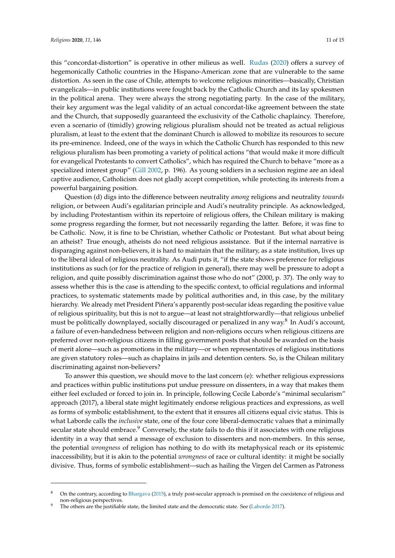this "concordat-distortion" is operative in other milieus as well. [Rudas](#page-13-17) [\(2020\)](#page-13-17) offers a survey of hegemonically Catholic countries in the Hispano-American zone that are vulnerable to the same distortion. As seen in the case of Chile, attempts to welcome religious minorities—basically, Christian evangelicals—in public institutions were fought back by the Catholic Church and its lay spokesmen in the political arena. They were always the strong negotiating party. In the case of the military, their key argument was the legal validity of an actual concordat-like agreement between the state and the Church, that supposedly guaranteed the exclusivity of the Catholic chaplaincy. Therefore, even a scenario of (timidly) growing religious pluralism should not be treated as actual religious pluralism, at least to the extent that the dominant Church is allowed to mobilize its resources to secure its pre-eminence. Indeed, one of the ways in which the Catholic Church has responded to this new religious pluralism has been promoting a variety of political actions "that would make it more difficult for evangelical Protestants to convert Catholics", which has required the Church to behave "more as a specialized interest group" [\(Gill](#page-13-24) [2002,](#page-13-24) p. 196). As young soldiers in a seclusion regime are an ideal captive audience, Catholicism does not gladly accept competition, while protecting its interests from a powerful bargaining position.

Question (d) digs into the difference between neutrality *among* religions and neutrality *towards* religion, or between Audi's egalitarian principle and Audi's neutrality principle. As acknowledged, by including Protestantism within its repertoire of religious offers, the Chilean military is making some progress regarding the former, but not necessarily regarding the latter. Before, it was fine to be Catholic. Now, it is fine to be Christian, whether Catholic or Protestant. But what about being an atheist? True enough, atheists do not need religious assistance. But if the internal narrative is disparaging against non-believers, it is hard to maintain that the military, as a state institution, lives up to the liberal ideal of religious neutrality. As Audi puts it, "if the state shows preference for religious institutions as such (or for the practice of religion in general), there may well be pressure to adopt a religion, and quite possibly discrimination against those who do not" (2000, p. 37). The only way to assess whether this is the case is attending to the specific context, to official regulations and informal practices, to systematic statements made by political authorities and, in this case, by the military hierarchy. We already met President Piñera's apparently post-secular ideas regarding the positive value of religious spirituality, but this is not to argue—at least not straightforwardly—that religious unbelief must be politically downplayed, socially discouraged or penalized in any way. $^8$  In Audi's account, a failure of even-handedness between religion and non-religions occurs when religious citizens are preferred over non-religious citizens in filling government posts that should be awarded on the basis of merit alone—such as promotions in the military—or when representatives of religious institutions are given statutory roles—such as chaplains in jails and detention centers. So, is the Chilean military discriminating against non-believers?

To answer this question, we should move to the last concern (e): whether religious expressions and practices within public institutions put undue pressure on dissenters, in a way that makes them either feel excluded or forced to join in. In principle, following Cecile Laborde's "minimal secularism" approach (2017), a liberal state might legitimately endorse religious practices and expressions, as well as forms of symbolic establishment, to the extent that it ensures all citizens equal civic status. This is what Laborde calls the *inclusive* state, one of the four core liberal-democratic values that a minimally secular state should embrace.<sup>9</sup> Conversely, the state fails to do this if it associates with one religious identity in a way that send a message of exclusion to dissenters and non-members. In this sense, the potential *wrongness* of religion has nothing to do with its metaphysical reach or its epistemic inaccessibility, but it is akin to the potential *wrongness* of race or cultural identity: it might be socially divisive. Thus, forms of symbolic establishment—such as hailing the Virgen del Carmen as Patroness

<sup>8</sup> On the contrary, according to [Bhargava](#page-12-9) [\(2015\)](#page-12-9), a truly post-secular approach is premised on the coexistence of religious and non-religious perspectives.

The others are the justifiable state, the limited state and the democratic state. See [\(Laborde](#page-13-25) [2017\)](#page-13-25).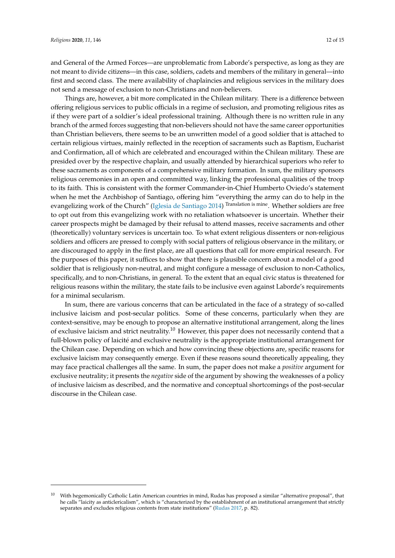and General of the Armed Forces—are unproblematic from Laborde's perspective, as long as they are not meant to divide citizens—in this case, soldiers, cadets and members of the military in general—into first and second class. The mere availability of chaplaincies and religious services in the military does not send a message of exclusion to non-Christians and non-believers.

Things are, however, a bit more complicated in the Chilean military. There is a difference between offering religious services to public officials in a regime of seclusion, and promoting religious rites as if they were part of a soldier's ideal professional training. Although there is no written rule in any branch of the armed forces suggesting that non-believers should not have the same career opportunities than Christian believers, there seems to be an unwritten model of a good soldier that is attached to certain religious virtues, mainly reflected in the reception of sacraments such as Baptism, Eucharist and Confirmation, all of which are celebrated and encouraged within the Chilean military. These are presided over by the respective chaplain, and usually attended by hierarchical superiors who refer to these sacraments as components of a comprehensive military formation. In sum, the military sponsors religious ceremonies in an open and committed way, linking the professional qualities of the troop to its faith. This is consistent with the former Commander-in-Chief Humberto Oviedo's statement when he met the Archbishop of Santiago, offering him "everything the army can do to help in the evangelizing work of the Church" [\(Iglesia de Santiago](#page-13-26) [2014\)](#page-13-26) <sup>Translation is mine</sup>. Whether soldiers are free to opt out from this evangelizing work with no retaliation whatsoever is uncertain. Whether their career prospects might be damaged by their refusal to attend masses, receive sacraments and other (theoretically) voluntary services is uncertain too. To what extent religious dissenters or non-religious soldiers and officers are pressed to comply with social patters of religious observance in the military, or are discouraged to apply in the first place, are all questions that call for more empirical research. For the purposes of this paper, it suffices to show that there is plausible concern about a model of a good soldier that is religiously non-neutral, and might configure a message of exclusion to non-Catholics, specifically, and to non-Christians, in general. To the extent that an equal civic status is threatened for religious reasons within the military, the state fails to be inclusive even against Laborde's requirements for a minimal secularism.

In sum, there are various concerns that can be articulated in the face of a strategy of so-called inclusive laicism and post-secular politics. Some of these concerns, particularly when they are context-sensitive, may be enough to propose an alternative institutional arrangement, along the lines of exclusive laicism and strict neutrality.<sup>10</sup> However, this paper does not necessarily contend that a full-blown policy of laicité and exclusive neutrality is the appropriate institutional arrangement for the Chilean case. Depending on which and how convincing these objections are, specific reasons for exclusive laicism may consequently emerge. Even if these reasons sound theoretically appealing, they may face practical challenges all the same. In sum, the paper does not make a *positive* argument for exclusive neutrality; it presents the *negative* side of the argument by showing the weaknesses of a policy of inclusive laicism as described, and the normative and conceptual shortcomings of the post-secular discourse in the Chilean case.

<sup>10</sup> With hegemonically Catholic Latin American countries in mind, Rudas has proposed a similar "alternative proposal", that he calls "laicity as anticlericalism", which is "characterized by the establishment of an institutional arrangement that strictly separates and excludes religious contents from state institutions" [\(Rudas](#page-13-27) [2017,](#page-13-27) p. 82).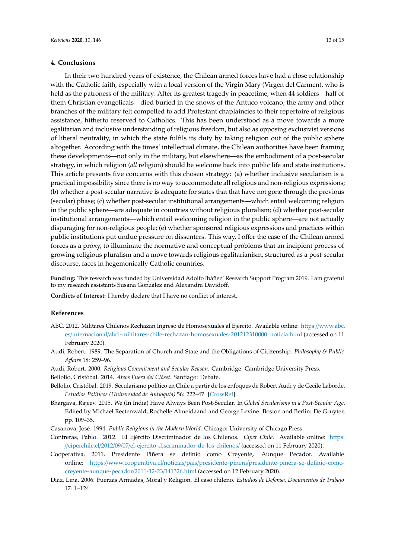## **4. Conclusions**

In their two hundred years of existence, the Chilean armed forces have had a close relationship with the Catholic faith, especially with a local version of the Virgin Mary (Virgen del Carmen), who is held as the patroness of the military. After its greatest tragedy in peacetime, when 44 soldiers—half of them Christian evangelicals—died buried in the snows of the Antuco volcano, the army and other branches of the military felt compelled to add Protestant chaplaincies to their repertoire of religious assistance, hitherto reserved to Catholics. This has been understood as a move towards a more egalitarian and inclusive understanding of religious freedom, but also as opposing exclusivist versions of liberal neutrality, in which the state fulfils its duty by taking religion out of the public sphere altogether. According with the times' intellectual climate, the Chilean authorities have been framing these developments—not only in the military, but elsewhere—as the embodiment of a post-secular strategy, in which religion (*all* religion) should be welcome back into public life and state institutions. This article presents five concerns with this chosen strategy: (a) whether inclusive secularism is a practical impossibility since there is no way to accommodate all religious and non-religious expressions; (b) whether a post-secular narrative is adequate for states that that have not gone through the previous (secular) phase; (c) whether post-secular institutional arrangements—which entail welcoming religion in the public sphere—are adequate in countries without religious pluralism; (d) whether post-secular institutional arrangements—which entail welcoming religion in the public sphere—are not actually disparaging for non-religious people; (e) whether sponsored religious expressions and practices within public institutions put undue pressure on dissenters. This way, I offer the case of the Chilean armed forces as a proxy, to illuminate the normative and conceptual problems that an incipient process of growing religious pluralism and a move towards religious egalitarianism, structured as a post-secular discourse, faces in hegemonically Catholic countries.

**Funding:** This research was funded by Universidad Adolfo Ibáñez' Research Support Program 2019. I am grateful to my research assistants Susana González and Alexandra Davidoff.

**Conflicts of Interest:** I hereby declare that I have no conflict of interest.

## **References**

- <span id="page-12-2"></span>ABC. 2012. Militares Chilenos Rechazan Ingreso de Homosexuales al Ejército. Available online: https://[www.abc.](https://www.abc.es/internacional/abci-miltitares-chile-rechazan-homosexuales-201212310000_noticia.html) es/internacional/[abci-miltitares-chile-rechazan-homosexuales-201212310000\\_noticia.html](https://www.abc.es/internacional/abci-miltitares-chile-rechazan-homosexuales-201212310000_noticia.html) (accessed on 11 February 2020).
- <span id="page-12-4"></span>Audi, Robert. 1989. The Separation of Church and State and the Obligations of Citizenship. *Philosophy & Public A*ff*airs* 18: 259–96.
- <span id="page-12-7"></span><span id="page-12-5"></span>Audi, Robert. 2000. *Religious Commitment and Secular Reason*. Cambridge: Cambridge University Press.
- Bellolio, Cristóbal. 2014. *Ateos Fuera del Clóset*. Santiago: Debate.
- <span id="page-12-0"></span>Bellolio, Cristóbal. 2019. Secularismo político en Chile a partir de los enfoques de Robert Audi y de Cecile Laborde. *Estudios Políticos (Universidad de Antioquia)* 56: 222–47. [\[CrossRef\]](http://dx.doi.org/10.17533/udea.espo.n56a10)
- <span id="page-12-9"></span>Bhargava, Rajeev. 2015. We (In India) Have Always Been Post-Secular. In *Global Secularisms in a Post-Secular Age*. Edited by Michael Rectenwald, Rochelle Almeidaand and George Levine. Boston and Berlin: De Gruyter, pp. 109–35.
- <span id="page-12-8"></span>Casanova, José. 1994. *Public Religions in the Modern World*. Chicago: University of Chicago Press.
- <span id="page-12-3"></span>Contreras, Pablo. 2012. El Ejército Discriminador de los Chilenos. *Ciper Chile*. Available online: [https:](https://ciperchile.cl/2012/09/07/el-ejercito-discriminador-de-los-chilenos/) //ciperchile.cl/2012/09/07/[el-ejercito-discriminador-de-los-chilenos](https://ciperchile.cl/2012/09/07/el-ejercito-discriminador-de-los-chilenos/)/ (accessed on 11 February 2020).
- <span id="page-12-6"></span>Cooperativa. 2011. Presidente Piñera se definió como Creyente, Aunque Pecador. Available online: https://www.cooperativa.cl/noticias/pais/presidente-pinera/[presidente-pinera-se-definio-como](https://www.cooperativa.cl/noticias/pais/presidente-pinera/presidente-pinera-se-definio-como-creyente-aunque-pecador/2011-12-23/141326.html)[creyente-aunque-pecador](https://www.cooperativa.cl/noticias/pais/presidente-pinera/presidente-pinera-se-definio-como-creyente-aunque-pecador/2011-12-23/141326.html)/2011-12-23/141326.html (accessed on 12 February 2020).
- <span id="page-12-1"></span>Diaz, Lina. 2006. Fuerzas Armadas, Moral y Religión. El caso chileno. *Estudios de Defensa, Documentos de Trabajo* 17: 1–124.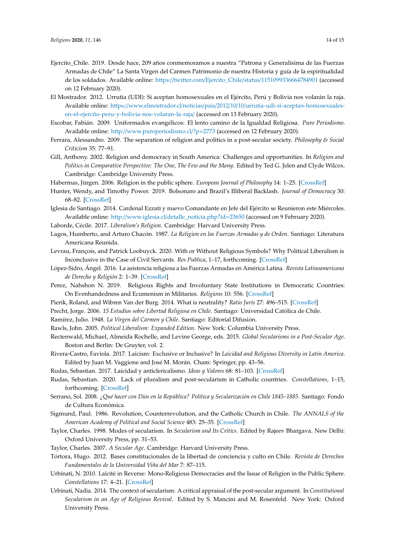- <span id="page-13-4"></span>Ejercito\_Chile. 2019. Desde hace, 209 años conmemoramos a nuestra "Patrona y Generalísima de las Fuerzas Armadas de Chile" La Santa Virgen del Carmen Patrimonio de nuestra Historia y guía de la espiritualidad de los soldados. Available online: https://twitter.com/Ejercito\_Chile/status/[1151099336664784901](https://twitter.com/Ejercito_Chile/status/1151099336664784901) (accessed on 12 February 2020).
- <span id="page-13-6"></span>El Mostrador. 2012. Urrutia (UDI): Si aceptan homosexuales en el Ejército, Perú y Bolivia nos volarán la raja. Available online: https://www.elmostrador.cl/noticias/pais/2012/10/10/[urrutia-udi-si-aceptan-homosexuales](https://www.elmostrador.cl/noticias/pais/2012/10/10/urrutia-udi-si-aceptan-homosexuales-en-el-ejercito-peru-y-bolivia-nos-volaran-la-raja/)[en-el-ejercito-peru-y-bolivia-nos-volaran-la-raja](https://www.elmostrador.cl/noticias/pais/2012/10/10/urrutia-udi-si-aceptan-homosexuales-en-el-ejercito-peru-y-bolivia-nos-volaran-la-raja/)/ (accessed on 13 February 2020).
- <span id="page-13-0"></span>Escobar, Fabián. 2009. Uniformados evangélicos: El lento camino de la Igualdad Religiosa. *Puro Periodismo*. Available online: http://[www.puroperiodismo.cl](http://www.puroperiodismo.cl/?p=2773)/?p=2773 (accessed on 12 February 2020).
- <span id="page-13-21"></span>Ferrara, Alessandro. 2009. The separation of religion and politics in a post-secular society. *Philosophy & Social Criticism* 35: 77–91.
- <span id="page-13-24"></span>Gill, Anthony. 2002. Religion and democracy in South America: Challenges and opportunities. In *Religion and Politics in Comparative Perspective: The One, The Few and the Many*. Edited by Ted G. Jelen and Clyde Wilcox. Cambridge: Cambridge University Press.
- <span id="page-13-18"></span>Habermas, Jürgen. 2006. Religion in the public sphere. *European Journal of Philosophy* 14: 1–25. [\[CrossRef\]](http://dx.doi.org/10.1111/j.1468-0378.2006.00241.x)
- <span id="page-13-13"></span>Hunter, Wendy, and Timothy Power. 2019. Bolsonaro and Brazil's Illiberal Backlash. *Journal of Democracy* 30: 68–82. [\[CrossRef\]](http://dx.doi.org/10.1353/jod.2019.0005)
- <span id="page-13-26"></span>Iglesia de Santiago. 2014. Cardenal Ezzati y nuevo Comandante en Jefe del Ejército se Reunieron este Miércoles. Available online: http://www.iglesia.cl/[detalle\\_noticia.php?id](http://www.iglesia.cl/detalle_noticia.php?id=23650)=23650 (accessed on 9 February 2020).
- <span id="page-13-25"></span><span id="page-13-2"></span>Laborde, Cécile. 2017. *Liberalism's Religion*. Cambridge: Harvard University Press.
- Lagos, Humberto, and Arturo Chacón. 1987. *La Religion en las Fuerzas Armadas y de Orden*. Santiago: Literatura Americana Reunida.
- <span id="page-13-15"></span>Levrau, François, and Patrick Loobuyck. 2020. With or Without Religious Symbols? Why Political Liberalism is Inconclusive in the Case of Civil Servants. *Res Publica*, 1–17, forthcoming. [\[CrossRef\]](http://dx.doi.org/10.1007/s11158-019-09446-z)
- <span id="page-13-7"></span>López-Sidro, Ángel. 2016. La asistencia religiosa a las Fuerzas Armadas en América Latina. *Revista Latinoamericana de Derecho y Religión* 2: 1–39. [\[CrossRef\]](http://dx.doi.org/10.7764/RLDR.3.29)
- <span id="page-13-10"></span>Perez, Nahshon N. 2019. Religious Rights and Involuntary State Institutions in Democratic Countries: On Evenhandedness and Ecumenism in Militaries. *Religions* 10: 556. [\[CrossRef\]](http://dx.doi.org/10.3390/rel10100556)
- <span id="page-13-12"></span>Pierik, Roland, and Wibren Van der Burg. 2014. What is neutrality? *Ratio Juris* 27: 496–515. [\[CrossRef\]](http://dx.doi.org/10.1111/raju.12057)
- <span id="page-13-8"></span>Precht, Jorge. 2006. *15 Estudios sobre Libertad Religiosa en Chile*. Santiago: Universidad Católica de Chile.

<span id="page-13-1"></span>Ramírez, Julio. 1948. *La Virgen del Carmen y Chile*. Santiago: Editorial Difusión.

- <span id="page-13-20"></span>Rawls, John. 2005. *Political Liberalism: Expanded Edition*. New York: Columbia University Press.
- <span id="page-13-16"></span>Rectenwald, Michael, Almeida Rochelle, and Levine George, eds. 2015. *Global Secularisms in a Post-Secular Age*. Boston and Berlin: De Gruyter, vol. 2.
- <span id="page-13-11"></span>Rivera-Castro, Faviola. 2017. Laicism: Exclusive or Inclusive? In *Laicidad and Religious Diversity in Latin America*. Edited by Juan M. Vaggione and José M. Morán. Cham: Springer, pp. 43–56.
- <span id="page-13-27"></span>Rudas, Sebastian. 2017. Laicidad y anticlericalismo. *Ideas y Valores* 68: 81–103. [\[CrossRef\]](http://dx.doi.org/10.15446/ideasyvalores.v68n171.63939)
- <span id="page-13-17"></span>Rudas, Sebastian. 2020. Lack of pluralism and post-secularism in Catholic countries. *Constellations*, 1–15, forthcoming. [\[CrossRef\]](http://dx.doi.org/10.1111/1467-8675.12461)
- <span id="page-13-14"></span>Serrano, Sol. 2008. *¿Qué hacer con Dios en la República? Política y Secularización en Chile 1845–1885*. Santiago: Fondo de Cultura Económica.
- <span id="page-13-3"></span>Sigmund, Paul. 1986. Revolution, Counterrevolution, and the Catholic Church in Chile. *The ANNALS of the American Academy of Political and Social Science* 483: 25–35. [\[CrossRef\]](http://dx.doi.org/10.1177/0002716286483001003)
- <span id="page-13-19"></span>Taylor, Charles. 1998. Modes of secularism. In *Secularism and Its Critics*. Edited by Rajeev Bhargava. New Delhi: Oxford University Press, pp. 31–53.
- <span id="page-13-9"></span><span id="page-13-5"></span>Taylor, Charles. 2007. *A Secular Age*. Cambridge: Harvard University Press.
- Tórtora, Hugo. 2012. Bases constitucionales de la libertad de conciencia y culto en Chile. *Revista de Derechos Fundamentales de la Universidad Viña del Mar* 7: 87–115.
- <span id="page-13-22"></span>Urbinati, N. 2010. Laïcité in Reverse: Mono-Religious Democracies and the Issue of Religion in the Public Sphere. *Constellations* 17: 4–21. [\[CrossRef\]](http://dx.doi.org/10.1111/j.1467-8675.2009.00573.x)
- <span id="page-13-23"></span>Urbinati, Nadia. 2014. The context of secularism: A critical appraisal of the post-secular argument. In *Constitutional Secularism in an Age of Religious Revival*. Edited by S. Mancini and M. Rosenfeld. New York: Oxford University Press.